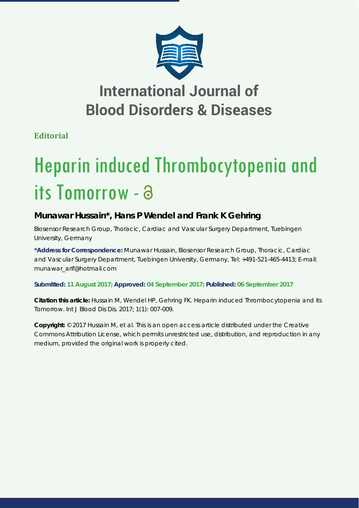

## **International Journal of Blood Disorders & Diseases**

**Editorial**

# Heparin induced Thrombocytopenia and its Tomorrow -

### **Munawar Hussain\*, Hans P Wendel and Frank K Gehring**

*Biosensor Research Group, Thoracic, Cardiac and Vascular Surgery Department, Tuebingen University, Germany*

**\*Address for Correspondence:** Munawar Hussain, Biosensor Research Group, Thoracic, Cardiac and Vascular Surgery Department, Tuebingen University, Germany, Tel: +491-521-465-4413; E-mail: munawar\_arif@hotmail.com

**Submitted: 11 August 2017; Approved: 04 September 2017; Published: 06 September 2017**

**Citation this article:** Hussain M, Wendel HP, Gehring FK. Heparin induced Thrombocytopenia and its Tomorrow. Int J Blood Dis Dis. 2017; 1(1): 007-009.

**Copyright:** © 2017 Hussain M, et al. This is an open access article distributed under the Creative Commons Attribution License, which permits unrestricted use, distribution, and reproduction in any medium, provided the original work is properly cited.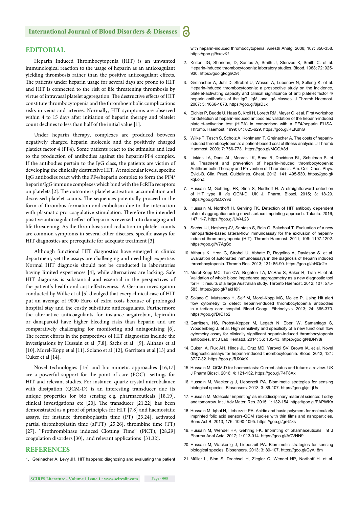#### **EDITORIAL**

Heparin Induced Thrombocytopenia (HIT) is an unwanted immunological reaction to the usage of heparin as an anticoagulant yielding thrombosis rather than the positive anticoagulant effects. The patients under heparin usage for several days are prone to HIT and HIT is connected to the risk of life threatening thrombosis by virtue of intravasal platelet aggregation. The destructive effects of HIT constitute thrombocytopenia and the thromboembolic complications risks in veins and arteries. Normally, HIT symptoms are observed within 4 to 15 days after initiation of heparin therapy and platelet count declines to less than half of the initial value [1].

Under heparin therapy, complexes are produced between negatively charged heparin molecule and the positively charged platelet factor 4 (PF4). Some patients react to the stimulus and lead to the production of antibodies against the heparin/PF4 complex. If the antibodies pertain to the IgG class, the patients are victim of developing the clinically destructive HIT. At molecular levels, specific IgG antibodies react with the PF4/heparin complex to form the PF4/ heparin/IgG immune complexes which bind with the FcRIIa receptors on platelets [2]. The outcome is platelet activation, accumulation and decreased platelet counts. The sequences potentially proceed in the form of thrombus formation and embolism due to the interaction with plasmatic pro coagulative stimulation. Therefore the intended positive anticoagulant effect of heparin is reversed into damaging and life threatening. As the thrombosis and reduction in platelet counts are common symptoms in several other diseases, specific assays for HIT diagnostics are prerequisite for adequate treatment [3].

Although functional HIT diagnostics have emerged in clinics department, yet the assays are challenging and need high expertise. Normal HIT diagnosis should not be conducted in laboratories having limited experiences [4], while alternatives are lacking. Safe HIT diagnosis is substantial and essential in the perspectives of the patient's health and cost-effectiveness. A German investigation conducted by Wilke et al [5] divulged that every clinical case of HIT put an average of 9000 Euro of extra costs because of prolonged hospital stay and the costly substitute anticoagulants. Furthermore the alternative anticoagulants for instance argatroban, lepirudin or danaparoid have higher bleeding risks than heparin and are comparatively challenging for monitoring and antagonizing [6]. The recent efforts in the perspectives of HIT diagnostics include the investigations by Hussain et al [7,8], Sachs et al [9], Althaus et al [10], Morel-Kopp et al [11], Solano et al [12], Garritsen et al [13] and Cuker et al [14].

Novel technologies [15] and bio-mimetic approaches [16,17] are a powerful support for the point of care (POC) settings for HIT and relevant studies. For instance, quartz crystal microbalance with dissipation (QCM-D) is an interesting transducer due its unique properties for bio sensing e.g. pharmaceuticals [18,19], clinical investigations etc  $[20]$ . The transducer  $[21,22]$  has been demonstrated as a proof of principles for HIT [7,8] and haemostatic assays, for instance thromboplastin time (PT) [23,24], activated partial thromboplastin time (aPTT) [25,26], thrombine time (TT) [27], "Prothrombinase induced Clotting Time" (PiCT), [28,29] coagulation disorders [30], and relevant applications [31,32].

#### **REFERENCES**

1. Greinacher A, Levy JH. HIT happens: diagnosing and evaluating the patient

with heparin-induced thrombocytopenia. Anesth Analg. 2008; 107: 356-358. https://goo.gl/hxevKf

2. Kelton JG, Sheridan, D, Santos A, Smith J, Steeves K, Smith C. et al. Heparin-induced thrombocytopenia: laboratory studies. Blood. 1988; 72: 925- 930. https://goo.gl/qghC9t

a

- 3. Greinacher A, Juhl D, Strobel U, Wessel A, Lubenow N, Selleng K. et al. Heparin-induced thrombocytopenia: a prospective study on the incidence, platelet-activating capacity and clinical significance of anti platelet factor 4/ heparin antibodies of the IgG, IgM, and IgA classes. J Thromb Haemost. 2007; 5: 1666-1673. https://goo.gl/8jaDJx
- 4. Eichler P, Budde U, Haas S, Kroll H, Loreth RM, Meyer O. et al. First workshop for detection of heparin-induced antibodies: validation of the heparin-induced platelet-activation test (HIPA) in comparison with a PF4/heparin ELISA. Thromb. Haemost. 1999; 81: 625-629. https://goo.gl/KEKdhG
- 5. Wilke T, Tesch S, Scholz A, Kohlmann T, Greinacher A. The costs of heparininduced thrombocytopenia: a patient-based cost of illness analysis. J Thromb Haemost. 2009; 7: 766-773. https://goo.gl/MGQA8d
- 6. Linkins LA, Dans AL, Moores LK, Bona R, Davidson BL, Schulman S. et al. Treatment and prevention of heparin-induced thrombocytopenia: Antithrombotic Therapy and Prevention of Thrombosis, Am. Coll. Ches. Phys. Evid.-B. Clin. Pract. Guidelines. Chest. 2012; 141: 495-530. https://goo.gl/ kqLonZ
- 7. Hussain M, Gehring, FK, Sinn S, Northoff H. A straightforward detection of HIT type II *via* QCM-D. UK J. Pharm. Biosci. 2015; 3: 18-29. https://goo.gl/5DXYvd
- 8. Hussain M, Northoff H, Gehring FK. Detection of HIT antibody dependent platelet aggregation using novel surface imprinting approach. Talanta. 2016; 147: 1-7. https://goo.gl/UV4L23
- 9. Sachs UJ, Hesberg JV, Santoso S, Bein G, Bakchoul T. Evaluation of a new nanoparticle-based lateral-flow immunoassay for the exclusion of heparininduced thrombocytopenia (HIT). Thromb Haemost. 2011; 106: 1197-1202. https://goo.gl/V7AgSc
- 10. Althaus K, Hron G, Strobel U, Abbate R, Rogolino A, Davidson S. et al. Evaluation of automated immunoassays in the diagnosis of heparin induced thrombocytopenia. Thromb Res. 2013; 131: 85-90. https://goo.gl/aHQc2e
- 11. Morel-Kopp MC, Tan CW, Brighton TA, McRae S, Baker R, Tran H. et al. Validation of whole blood impedance aggregometry as a new diagnostic tool for HIT: results of a large Australian study. Thromb Haemost. 2012; 107: 575- 583. https://goo.gl/7akH6K
- 12. Solano C, Mutsando H, Self M, Morel-Kopp MC, Mollee P. Using Hit alert flow cytometry to detect heparin-induced thrombocytopenia antibodies in a tertiary care hospital. Blood Coagul Fibrinolysis. 2013; 24: 365-370. https://goo.gl/DrC1o2
- 13. Garritsen, HS, Probst-Kepper M, Legath N, Eberl W, Samaniego S, Woudenberg J. et al. High sensitivity and specificity of a new functional flow cytometry assay for clinically significant heparin-induced thrombocytopenia antibodies. Int J Lab Hematol. 2014; 36: 135-43. https://goo.gl/NBNY8i
- 14. Cuker A, Rux AH, Hinds JL, Cruz MD, Yarovoi SV, Brown IA, et al. Novel diagnostic assays for heparin-induced thrombocytopenia. Blood. 2013; 121: 3727-32. https://goo.gl/fUX4qX
- 15. Hussain M. QCM-D for haemostasis: Current status and future: a review. UK J Pharm Biosci. 2016; 4: 121-132. https://goo.gl/P4F8Xx
- 16. Hussain M, Wackerlig J, Lieberzeit PA. Biomimetic strategies for sensing biological species. Biosensors. 2013; 3: 89-107. https://goo.gl/jqLjUs
- 17. Hussain M. Molecular imprinting' as multidisciplinary material science: Today and tomorrow. Int J Adv Mater. Res. 2015; 1: 132-154. https://goo.gl/FAPWKn
- 18. Hussain M, Iqbal N, Lieberzeit PA. Acidic and basic polymers for molecularly imprinted folic acid sensors-QCM studies with thin films and nanoparticles. Sens Act B. 2013; 176: 1090-1095. https://goo.gl/gr6Z8s
- 19. Hussain M, Wendel HP, Gehring FK. Imprinting of pharmaceuticals. Int J Pharma Anal Acta. 2017; 1: 013-014. https://goo.gl/ACVNN9
- 20. Hussain M, Wackerlig J, Lieberzeit PA. Biomimetic strategies for sensing biological species. Biosensors. 2013; 3: 89-107. https://goo.gl/GyA18m
- 21. Müller L, Sinn S, Drechsel H, Ziegler C, Wendel HP, Northoff H. et al.